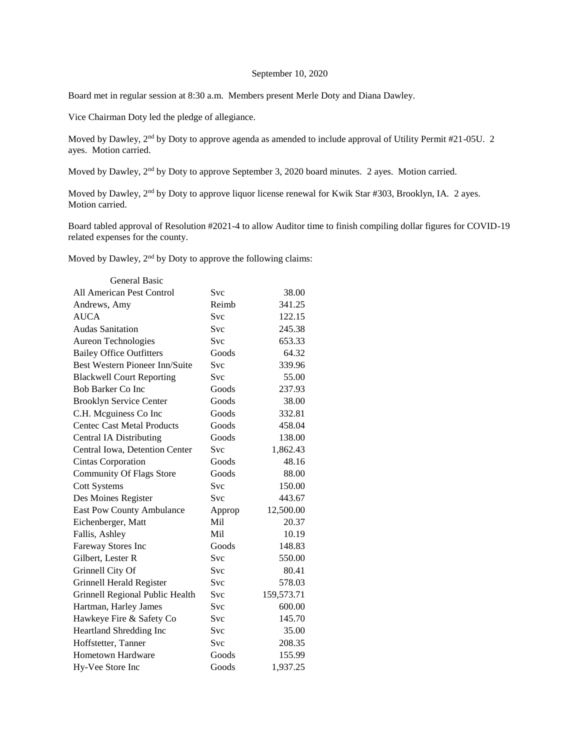# September 10, 2020

Board met in regular session at 8:30 a.m. Members present Merle Doty and Diana Dawley.

Vice Chairman Doty led the pledge of allegiance.

Moved by Dawley, 2<sup>nd</sup> by Doty to approve agenda as amended to include approval of Utility Permit #21-05U. 2 ayes. Motion carried.

Moved by Dawley, 2<sup>nd</sup> by Doty to approve September 3, 2020 board minutes. 2 ayes. Motion carried.

Moved by Dawley, 2<sup>nd</sup> by Doty to approve liquor license renewal for Kwik Star #303, Brooklyn, IA. 2 ayes. Motion carried.

Board tabled approval of Resolution #2021-4 to allow Auditor time to finish compiling dollar figures for COVID-19 related expenses for the county.

Moved by Dawley, 2<sup>nd</sup> by Doty to approve the following claims:

| <b>General Basic</b>                  |            |            |
|---------------------------------------|------------|------------|
| All American Pest Control             | Svc        | 38.00      |
| Andrews, Amy                          | Reimb      | 341.25     |
| <b>AUCA</b>                           | <b>Svc</b> | 122.15     |
| <b>Audas Sanitation</b>               | Svc        | 245.38     |
| Aureon Technologies                   | <b>Svc</b> | 653.33     |
| <b>Bailey Office Outfitters</b>       | Goods      | 64.32      |
| <b>Best Western Pioneer Inn/Suite</b> | Svc        | 339.96     |
| <b>Blackwell Court Reporting</b>      | <b>Svc</b> | 55.00      |
| <b>Bob Barker Co Inc</b>              | Goods      | 237.93     |
| <b>Brooklyn Service Center</b>        | Goods      | 38.00      |
| C.H. Mcguiness Co Inc                 | Goods      | 332.81     |
| <b>Centec Cast Metal Products</b>     | Goods      | 458.04     |
| <b>Central IA Distributing</b>        | Goods      | 138.00     |
| Central Iowa, Detention Center        | <b>Svc</b> | 1,862.43   |
| <b>Cintas Corporation</b>             | Goods      | 48.16      |
| <b>Community Of Flags Store</b>       | Goods      | 88.00      |
| <b>Cott Systems</b>                   | <b>Svc</b> | 150.00     |
| Des Moines Register                   | Svc        | 443.67     |
| <b>East Pow County Ambulance</b>      | Approp     | 12,500.00  |
| Eichenberger, Matt                    | Mil        | 20.37      |
| Fallis, Ashley                        | Mil        | 10.19      |
| Fareway Stores Inc                    | Goods      | 148.83     |
| Gilbert, Lester R                     | Svc        | 550.00     |
| Grinnell City Of                      | <b>Svc</b> | 80.41      |
| Grinnell Herald Register              | Svc        | 578.03     |
| Grinnell Regional Public Health       | Svc        | 159,573.71 |
| Hartman, Harley James                 | Svc        | 600.00     |
| Hawkeye Fire & Safety Co              | Svc        | 145.70     |
| Heartland Shredding Inc               | Svc        | 35.00      |
| Hoffstetter, Tanner                   | Svc        | 208.35     |
| Hometown Hardware                     | Goods      | 155.99     |
| Hy-Vee Store Inc                      | Goods      | 1,937.25   |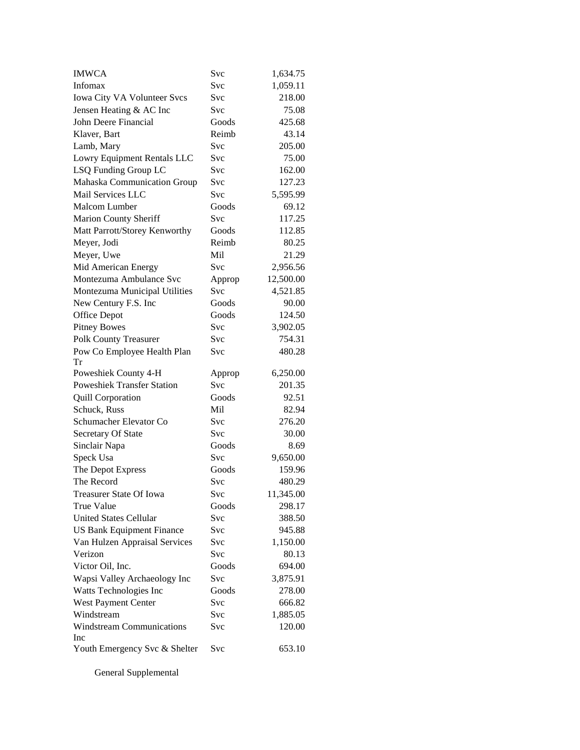| <b>IMWCA</b>                            | Svc    | 1,634.75  |
|-----------------------------------------|--------|-----------|
| Infomax                                 | Svc    | 1,059.11  |
| Iowa City VA Volunteer Svcs             | Svc    | 218.00    |
| Jensen Heating & AC Inc                 | Svc    | 75.08     |
| John Deere Financial                    | Goods  | 425.68    |
| Klaver, Bart                            | Reimb  | 43.14     |
| Lamb, Mary                              | Svc    | 205.00    |
| Lowry Equipment Rentals LLC             | Svc    | 75.00     |
| LSQ Funding Group LC                    | Svc    | 162.00    |
| Mahaska Communication Group             | Svc    | 127.23    |
| Mail Services LLC                       | Svc    | 5,595.99  |
| <b>Malcom Lumber</b>                    | Goods  | 69.12     |
| <b>Marion County Sheriff</b>            | Svc    | 117.25    |
| Matt Parrott/Storey Kenworthy           | Goods  | 112.85    |
| Meyer, Jodi                             | Reimb  | 80.25     |
| Meyer, Uwe                              | Mil    | 21.29     |
| Mid American Energy                     | Svc    | 2,956.56  |
| Montezuma Ambulance Svc                 | Approp | 12,500.00 |
| Montezuma Municipal Utilities           | Svc    | 4,521.85  |
| New Century F.S. Inc                    | Goods  | 90.00     |
| <b>Office Depot</b>                     | Goods  | 124.50    |
| <b>Pitney Bowes</b>                     | Svc    | 3,902.05  |
| <b>Polk County Treasurer</b>            | Svc    | 754.31    |
| Pow Co Employee Health Plan             | Svc    | 480.28    |
|                                         |        |           |
| Tr                                      |        |           |
| Poweshiek County 4-H                    | Approp | 6,250.00  |
| <b>Poweshiek Transfer Station</b>       | Svc    | 201.35    |
| <b>Quill Corporation</b>                | Goods  | 92.51     |
| Schuck, Russ                            | Mil    | 82.94     |
| Schumacher Elevator Co                  | Svc    | 276.20    |
| Secretary Of State                      | Svc    | 30.00     |
| Sinclair Napa                           | Goods  | 8.69      |
| Speck Usa                               | Svc    | 9,650.00  |
| The Depot Express                       | Goods  | 159.96    |
| The Record                              | Svc    | 480.29    |
| Treasurer State Of Iowa                 | Svc    | 11,345.00 |
| True Value                              | Goods  | 298.17    |
| <b>United States Cellular</b>           | Svc    | 388.50    |
| <b>US Bank Equipment Finance</b>        | Svc    | 945.88    |
| Van Hulzen Appraisal Services           | Svc    | 1,150.00  |
| Verizon                                 | Svc    | 80.13     |
| Victor Oil, Inc.                        | Goods  | 694.00    |
| Wapsi Valley Archaeology Inc            | Svc    | 3,875.91  |
| Watts Technologies Inc                  | Goods  | 278.00    |
| West Payment Center                     | Svc    | 666.82    |
| Windstream                              | Svc    | 1,885.05  |
| <b>Windstream Communications</b><br>Inc | Svc    | 120.00    |

General Supplemental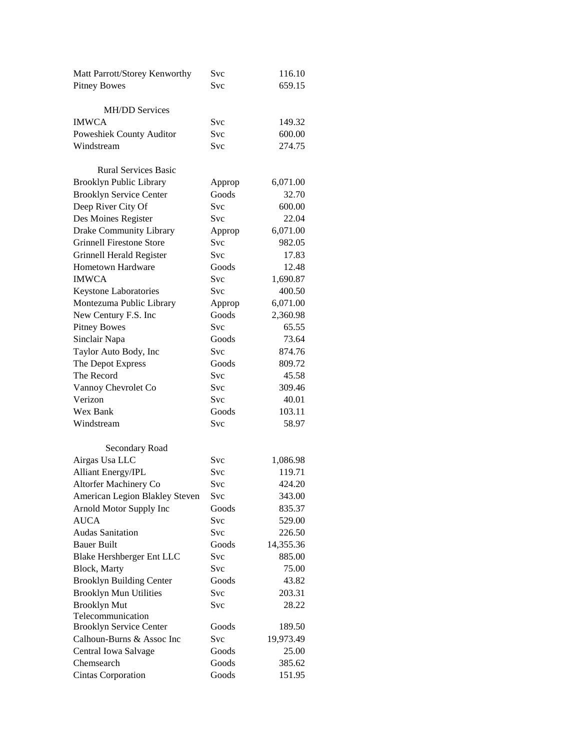| Matt Parrott/Storey Kenworthy   | Svc        | 116.10    |
|---------------------------------|------------|-----------|
| <b>Pitney Bowes</b>             | <b>Svc</b> | 659.15    |
|                                 |            |           |
| <b>MH/DD Services</b>           |            |           |
| <b>IMWCA</b>                    | Svc        | 149.32    |
| Poweshiek County Auditor        | <b>Svc</b> | 600.00    |
| Windstream                      | Svc        | 274.75    |
|                                 |            |           |
| <b>Rural Services Basic</b>     |            |           |
| <b>Brooklyn Public Library</b>  | Approp     | 6,071.00  |
| <b>Brooklyn Service Center</b>  | Goods      | 32.70     |
| Deep River City Of              | <b>Svc</b> | 600.00    |
| Des Moines Register             | <b>Svc</b> | 22.04     |
| Drake Community Library         | Approp     | 6,071.00  |
| <b>Grinnell Firestone Store</b> | Svc        | 982.05    |
| <b>Grinnell Herald Register</b> | <b>Svc</b> | 17.83     |
| Hometown Hardware               | Goods      | 12.48     |
| <b>IMWCA</b>                    | <b>Svc</b> | 1,690.87  |
| Keystone Laboratories           | Svc        | 400.50    |
| Montezuma Public Library        | Approp     | 6,071.00  |
| New Century F.S. Inc            | Goods      | 2,360.98  |
| <b>Pitney Bowes</b>             | Svc        | 65.55     |
| Sinclair Napa                   | Goods      | 73.64     |
| Taylor Auto Body, Inc           | Svc        | 874.76    |
| The Depot Express               | Goods      | 809.72    |
| The Record                      | Svc        | 45.58     |
| Vannoy Chevrolet Co             | <b>Svc</b> | 309.46    |
| Verizon                         | <b>Svc</b> | 40.01     |
| Wex Bank                        | Goods      | 103.11    |
| Windstream                      | Svc        | 58.97     |
|                                 |            |           |
| Secondary Road                  |            |           |
| Airgas Usa LLC                  | Svc        | 1,086.98  |
| <b>Alliant Energy/IPL</b>       | Svc        | 119.71    |
| Altorfer Machinery Co           | Svc        | 424.20    |
| American Legion Blakley Steven  | Svc        | 343.00    |
| Arnold Motor Supply Inc         | Goods      | 835.37    |
| <b>AUCA</b>                     | <b>Svc</b> | 529.00    |
| <b>Audas Sanitation</b>         | Svc        | 226.50    |
| <b>Bauer Built</b>              | Goods      | 14,355.36 |
| Blake Hershberger Ent LLC       | <b>Svc</b> | 885.00    |
| Block, Marty                    | Svc        | 75.00     |
| <b>Brooklyn Building Center</b> | Goods      | 43.82     |
| <b>Brooklyn Mun Utilities</b>   | Svc        | 203.31    |
| <b>Brooklyn Mut</b>             | <b>Svc</b> | 28.22     |
| Telecommunication               |            |           |
| <b>Brooklyn Service Center</b>  | Goods      | 189.50    |
| Calhoun-Burns & Assoc Inc       | Svc        | 19,973.49 |
| Central Iowa Salvage            | Goods      | 25.00     |
| Chemsearch                      | Goods      | 385.62    |
| Cintas Corporation              | Goods      | 151.95    |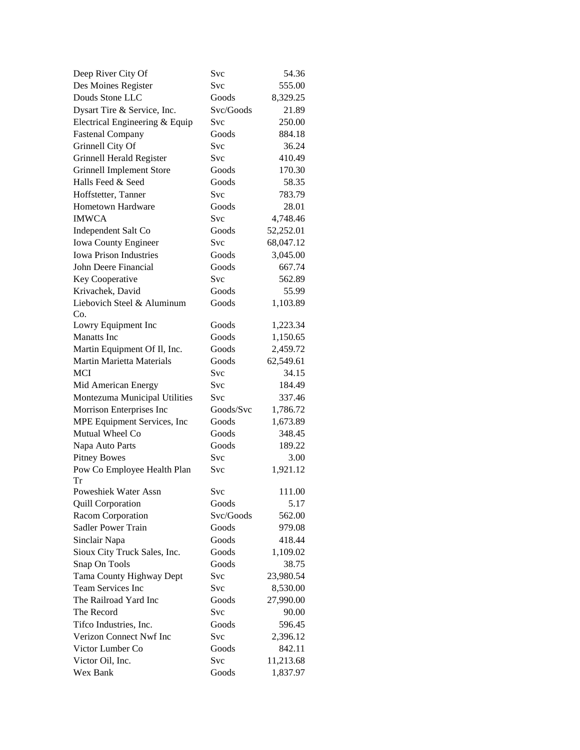| Deep River City Of                                               | Svc        | 54.36     |
|------------------------------------------------------------------|------------|-----------|
| Des Moines Register                                              | Svc        | 555.00    |
| Douds Stone LLC                                                  | Goods      | 8,329.25  |
| Dysart Tire & Service, Inc.                                      | Svc/Goods  | 21.89     |
| Electrical Engineering & Equip                                   | Svc        | 250.00    |
| <b>Fastenal Company</b>                                          | Goods      | 884.18    |
| Grinnell City Of                                                 | <b>Svc</b> | 36.24     |
| Grinnell Herald Register                                         | Svc        | 410.49    |
| <b>Grinnell Implement Store</b>                                  | Goods      | 170.30    |
| Halls Feed & Seed                                                | Goods      | 58.35     |
| Hoffstetter, Tanner                                              | Svc        | 783.79    |
| <b>Hometown Hardware</b>                                         | Goods      | 28.01     |
| <b>IMWCA</b>                                                     | Svc        | 4,748.46  |
| Independent Salt Co                                              | Goods      | 52,252.01 |
| Iowa County Engineer                                             | Svc        | 68,047.12 |
| <b>Iowa Prison Industries</b>                                    | Goods      | 3,045.00  |
| John Deere Financial                                             | Goods      | 667.74    |
| Key Cooperative                                                  | Svc        | 562.89    |
| Krivachek, David                                                 | Goods      | 55.99     |
| Liebovich Steel & Aluminum                                       | Goods      | 1,103.89  |
| Co.                                                              | Goods      | 1,223.34  |
| Lowry Equipment Inc<br><b>Manatts</b> Inc                        | Goods      | 1,150.65  |
|                                                                  | Goods      | 2,459.72  |
| Martin Equipment Of Il, Inc.<br><b>Martin Marietta Materials</b> | Goods      | 62,549.61 |
| <b>MCI</b>                                                       | Svc        | 34.15     |
| Mid American Energy                                              | Svc        | 184.49    |
| Montezuma Municipal Utilities                                    | Svc        | 337.46    |
| Morrison Enterprises Inc                                         | Goods/Svc  | 1,786.72  |
| MPE Equipment Services, Inc                                      | Goods      | 1,673.89  |
| Mutual Wheel Co                                                  | Goods      | 348.45    |
| Napa Auto Parts                                                  | Goods      | 189.22    |
| <b>Pitney Bowes</b>                                              | Svc        | 3.00      |
| Pow Co Employee Health Plan                                      | Svc        | 1,921.12  |
| <b>Tr</b>                                                        |            |           |
| Poweshiek Water Assn                                             | Svc        | 111.00    |
| <b>Quill Corporation</b>                                         | Goods      | 5.17      |
| Racom Corporation                                                | Svc/Goods  | 562.00    |
| Sadler Power Train                                               | Goods      | 979.08    |
| Sinclair Napa                                                    | Goods      | 418.44    |
| Sioux City Truck Sales, Inc.                                     | Goods      | 1,109.02  |
| Snap On Tools                                                    | Goods      | 38.75     |
| Tama County Highway Dept                                         | <b>Svc</b> | 23,980.54 |
| Team Services Inc                                                | Svc        | 8,530.00  |
| The Railroad Yard Inc                                            | Goods      | 27,990.00 |
| The Record                                                       | Svc        | 90.00     |
| Tifco Industries, Inc.                                           | Goods      | 596.45    |
| Verizon Connect Nwf Inc                                          | Svc        | 2,396.12  |
| Victor Lumber Co                                                 | Goods      | 842.11    |
| Victor Oil, Inc.                                                 | Svc        | 11,213.68 |
| Wex Bank                                                         | Goods      | 1,837.97  |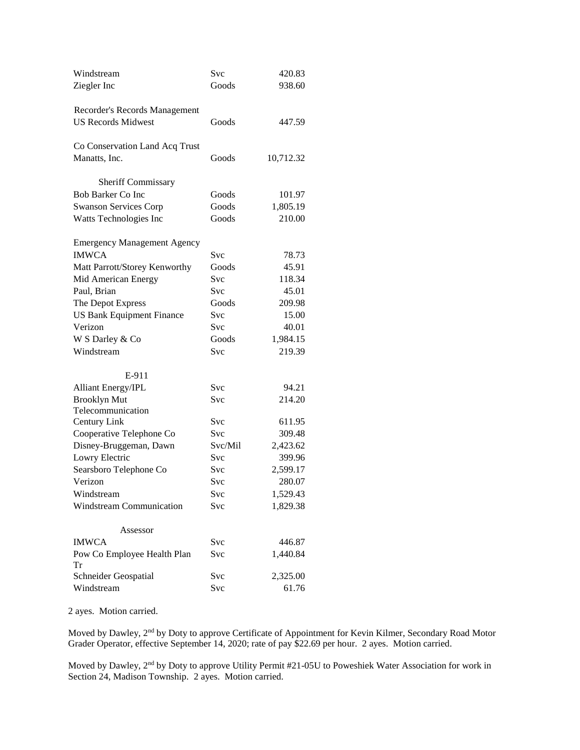| Windstream                         | Svc        | 420.83    |
|------------------------------------|------------|-----------|
| Ziegler Inc                        | Goods      | 938.60    |
|                                    |            |           |
| Recorder's Records Management      |            |           |
| <b>US Records Midwest</b>          | Goods      | 447.59    |
|                                    |            |           |
| Co Conservation Land Acq Trust     |            |           |
| Manatts, Inc.                      | Goods      | 10,712.32 |
|                                    |            |           |
| Sheriff Commissary                 |            |           |
| <b>Bob Barker Co Inc.</b>          | Goods      | 101.97    |
| <b>Swanson Services Corp</b>       | Goods      | 1,805.19  |
| Watts Technologies Inc             | Goods      | 210.00    |
|                                    |            |           |
| <b>Emergency Management Agency</b> |            |           |
| <b>IMWCA</b>                       | Svc        | 78.73     |
| Matt Parrott/Storey Kenworthy      | Goods      | 45.91     |
| Mid American Energy                | Svc        | 118.34    |
| Paul, Brian                        | Svc        | 45.01     |
| The Depot Express                  | Goods      | 209.98    |
| <b>US Bank Equipment Finance</b>   | Svc        | 15.00     |
| Verizon                            | <b>Svc</b> | 40.01     |
| W S Darley & Co                    | Goods      | 1,984.15  |
| Windstream                         | Svc        | 219.39    |
|                                    |            |           |
| E-911                              |            |           |
| Alliant Energy/IPL                 | Svc        | 94.21     |
| <b>Brooklyn Mut</b>                | Svc        | 214.20    |
| Telecommunication                  |            |           |
| Century Link                       | Svc        | 611.95    |
| Cooperative Telephone Co           | <b>Svc</b> | 309.48    |
| Disney-Bruggeman, Dawn             | Svc/Mil    | 2,423.62  |
| Lowry Electric                     | Svc        | 399.96    |
| Searsboro Telephone Co             | <b>Svc</b> | 2,599.17  |
| Verizon                            | Svc        | 280.07    |
| Windstream                         | Svc        | 1,529.43  |
| Windstream Communication           | Svc        | 1,829.38  |
|                                    |            |           |
| Assessor                           |            |           |
| <b>IMWCA</b>                       | Svc        | 446.87    |
| Pow Co Employee Health Plan        | Svc        | 1,440.84  |
| Tr                                 |            |           |
| Schneider Geospatial               | Svc        | 2,325.00  |
| Windstream                         | Svc        | 61.76     |

2 ayes. Motion carried.

Moved by Dawley, 2<sup>nd</sup> by Doty to approve Certificate of Appointment for Kevin Kilmer, Secondary Road Motor Grader Operator, effective September 14, 2020; rate of pay \$22.69 per hour. 2 ayes. Motion carried.

Moved by Dawley, 2nd by Doty to approve Utility Permit #21-05U to Poweshiek Water Association for work in Section 24, Madison Township. 2 ayes. Motion carried.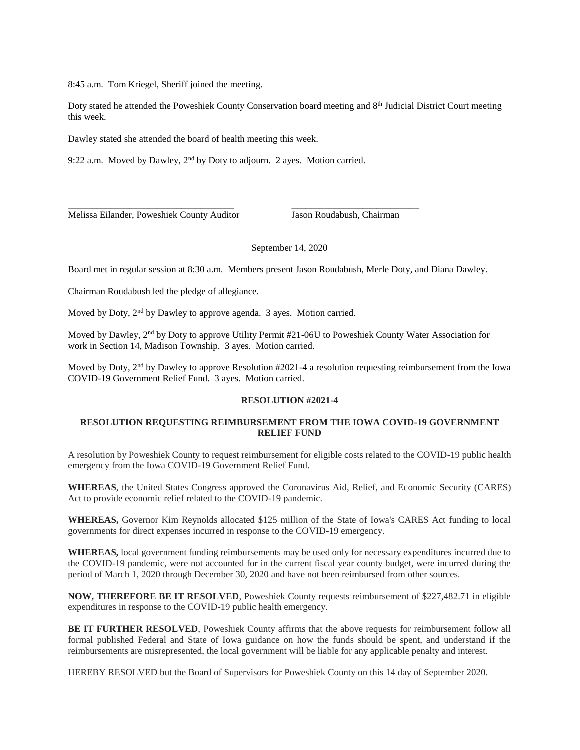8:45 a.m. Tom Kriegel, Sheriff joined the meeting.

Doty stated he attended the Poweshiek County Conservation board meeting and 8<sup>th</sup> Judicial District Court meeting this week.

Dawley stated she attended the board of health meeting this week.

9:22 a.m. Moved by Dawley, 2nd by Doty to adjourn. 2 ayes. Motion carried.

\_\_\_\_\_\_\_\_\_\_\_\_\_\_\_\_\_\_\_\_\_\_\_\_\_\_\_\_\_\_\_\_\_\_\_ \_\_\_\_\_\_\_\_\_\_\_\_\_\_\_\_\_\_\_\_\_\_\_\_\_\_\_

Melissa Eilander, Poweshiek County Auditor Jason Roudabush, Chairman

#### September 14, 2020

Board met in regular session at 8:30 a.m. Members present Jason Roudabush, Merle Doty, and Diana Dawley.

Chairman Roudabush led the pledge of allegiance.

Moved by Doty, 2<sup>nd</sup> by Dawley to approve agenda. 3 ayes. Motion carried.

Moved by Dawley, 2nd by Doty to approve Utility Permit #21-06U to Poweshiek County Water Association for work in Section 14, Madison Township. 3 ayes. Motion carried.

Moved by Doty, 2nd by Dawley to approve Resolution #2021-4 a resolution requesting reimbursement from the Iowa COVID-19 Government Relief Fund. 3 ayes. Motion carried.

### **RESOLUTION #2021-4**

# **RESOLUTION REQUESTING REIMBURSEMENT FROM THE IOWA COVID-19 GOVERNMENT RELIEF FUND**

A resolution by Poweshiek County to request reimbursement for eligible costs related to the COVID-19 public health emergency from the Iowa COVID-19 Government Relief Fund.

**WHEREAS**, the United States Congress approved the Coronavirus Aid, Relief, and Economic Security (CARES) Act to provide economic relief related to the COVID-19 pandemic.

**WHEREAS,** Governor Kim Reynolds allocated \$125 million of the State of Iowa's CARES Act funding to local governments for direct expenses incurred in response to the COVID-19 emergency.

**WHEREAS,** local government funding reimbursements may be used only for necessary expenditures incurred due to the COVID-19 pandemic, were not accounted for in the current fiscal year county budget, were incurred during the period of March 1, 2020 through December 30, 2020 and have not been reimbursed from other sources.

**NOW, THEREFORE BE IT RESOLVED**, Poweshiek County requests reimbursement of \$227,482.71 in eligible expenditures in response to the COVID-19 public health emergency.

**BE IT FURTHER RESOLVED**, Poweshiek County affirms that the above requests for reimbursement follow all formal published Federal and State of Iowa guidance on how the funds should be spent, and understand if the reimbursements are misrepresented, the local government will be liable for any applicable penalty and interest.

HEREBY RESOLVED but the Board of Supervisors for Poweshiek County on this 14 day of September 2020.